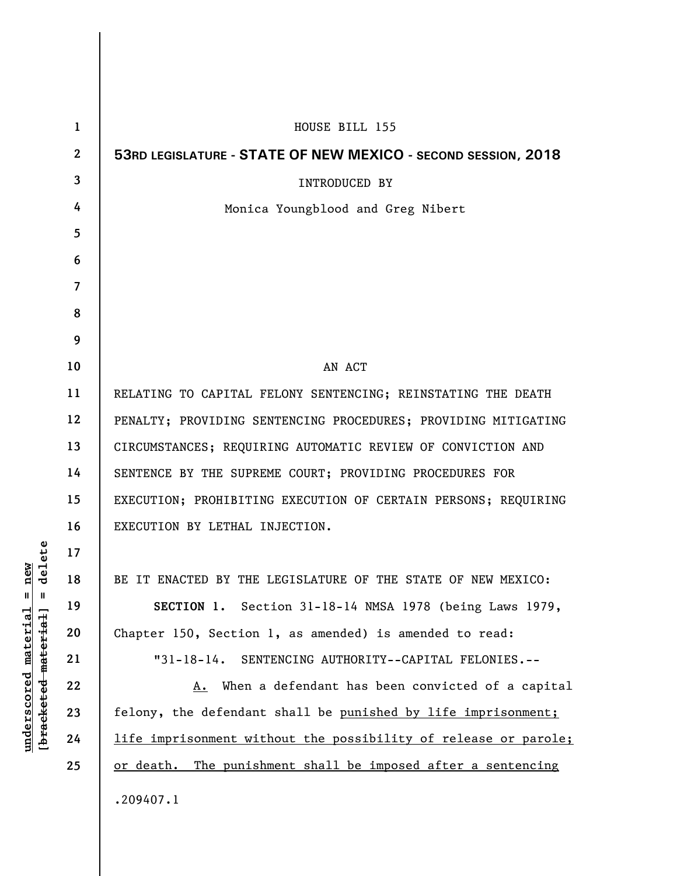| $\mathbf 1$      | HOUSE BILL 155                                                  |
|------------------|-----------------------------------------------------------------|
| $\boldsymbol{2}$ | 53RD LEGISLATURE - STATE OF NEW MEXICO - SECOND SESSION, 2018   |
| 3                | <b>INTRODUCED BY</b>                                            |
| 4                | Monica Youngblood and Greg Nibert                               |
| 5                |                                                                 |
| 6                |                                                                 |
| 7                |                                                                 |
| 8                |                                                                 |
| 9                |                                                                 |
| 10               | AN ACT                                                          |
| 11               | RELATING TO CAPITAL FELONY SENTENCING; REINSTATING THE DEATH    |
| 12               | PENALTY; PROVIDING SENTENCING PROCEDURES; PROVIDING MITIGATING  |
| 13               | CIRCUMSTANCES; REQUIRING AUTOMATIC REVIEW OF CONVICTION AND     |
| 14               | SENTENCE BY THE SUPREME COURT; PROVIDING PROCEDURES FOR         |
| 15               | EXECUTION; PROHIBITING EXECUTION OF CERTAIN PERSONS; REQUIRING  |
| 16               | EXECUTION BY LETHAL INJECTION.                                  |
| 17               |                                                                 |
| 18               | BE IT ENACTED BY THE LEGISLATURE OF THE STATE OF NEW MEXICO:    |
| 19               | SECTION 1. Section 31-18-14 NMSA 1978 (being Laws 1979,         |
| 20               | Chapter 150, Section 1, as amended) is amended to read:         |
| 21               | "31-18-14. SENTENCING AUTHORITY--CAPITAL FELONIES.--            |
| 22               | A. When a defendant has been convicted of a capital             |
| 23               | felony, the defendant shall be punished by life imprisonment;   |
| 24               | life imprisonment without the possibility of release or parole; |
| 25               | or death. The punishment shall be imposed after a sentencing    |
|                  | .209407.1                                                       |

 $\mathsf I$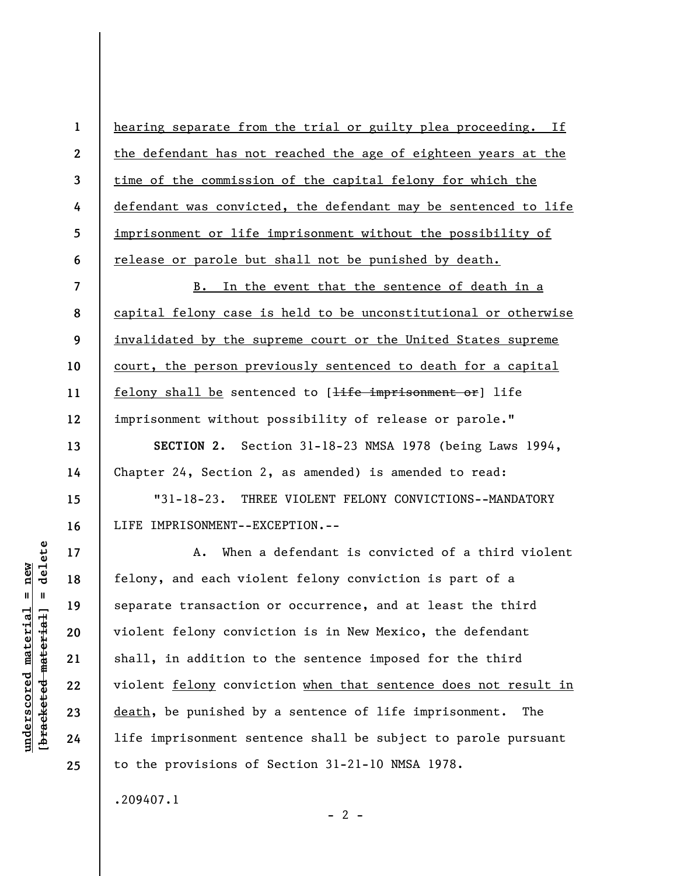hearing separate from the trial or guilty plea proceeding. If the defendant has not reached the age of eighteen years at the time of the commission of the capital felony for which the defendant was convicted, the defendant may be sentenced to life imprisonment or life imprisonment without the possibility of release or parole but shall not be punished by death.

**7 8 9 10 11 12**  B. In the event that the sentence of death in a capital felony case is held to be unconstitutional or otherwise invalidated by the supreme court or the United States supreme court, the person previously sentenced to death for a capital felony shall be sentenced to [<del>life imprisonment or</del>] life imprisonment without possibility of release or parole."

**SECTION 2.** Section 31-18-23 NMSA 1978 (being Laws 1994, Chapter 24, Section 2, as amended) is amended to read:

"31-18-23. THREE VIOLENT FELONY CONVICTIONS--MANDATORY LIFE IMPRISONMENT--EXCEPTION.--

A. When a defendant is convicted of a third violent felony, and each violent felony conviction is part of a separate transaction or occurrence, and at least the third violent felony conviction is in New Mexico, the defendant shall, in addition to the sentence imposed for the third violent felony conviction when that sentence does not result in death, be punished by a sentence of life imprisonment. The life imprisonment sentence shall be subject to parole pursuant to the provisions of Section 31-21-10 NMSA 1978.

 $- 2 -$ 

.209407.1

delete **[bracketed material] = delete**  $anderscored material = new$ **underscored material = new**  $\mathbf{I}$ bracketed material

**1** 

**2** 

**3** 

**4** 

**5** 

**6** 

**13** 

**14** 

**15** 

**16** 

**17** 

**18** 

**19** 

**20** 

**21** 

**22** 

**23** 

**24**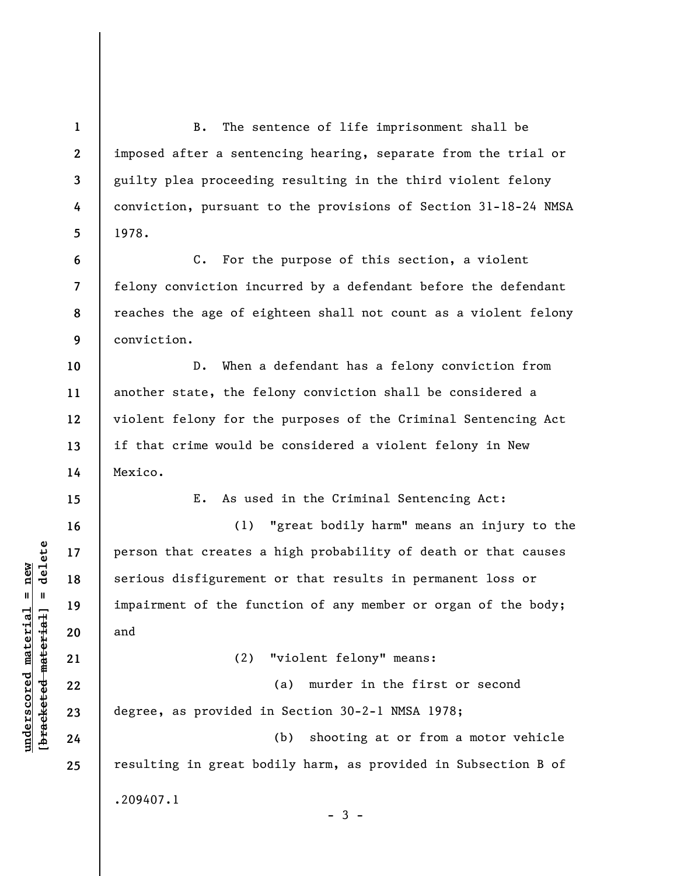**1 2 3 4 5 6 7 8 9 10 11 12 13 14 15 16 17 18 19 20 21 22 23 24 25**  B. The sentence of life imprisonment shall be imposed after a sentencing hearing, separate from the trial or guilty plea proceeding resulting in the third violent felony conviction, pursuant to the provisions of Section 31-18-24 NMSA 1978. C. For the purpose of this section, a violent felony conviction incurred by a defendant before the defendant reaches the age of eighteen shall not count as a violent felony conviction. D. When a defendant has a felony conviction from another state, the felony conviction shall be considered a violent felony for the purposes of the Criminal Sentencing Act if that crime would be considered a violent felony in New Mexico. E. As used in the Criminal Sentencing Act: (1) "great bodily harm" means an injury to the person that creates a high probability of death or that causes serious disfigurement or that results in permanent loss or impairment of the function of any member or organ of the body; and (2) "violent felony" means: (a) murder in the first or second degree, as provided in Section 30-2-1 NMSA 1978; (b) shooting at or from a motor vehicle resulting in great bodily harm, as provided in Subsection B of .209407.1  $-3 -$ 

 $\frac{1}{2}$  intereted material = delete **[bracketed material] = delete**  $underscored material = new$ **underscored material = new**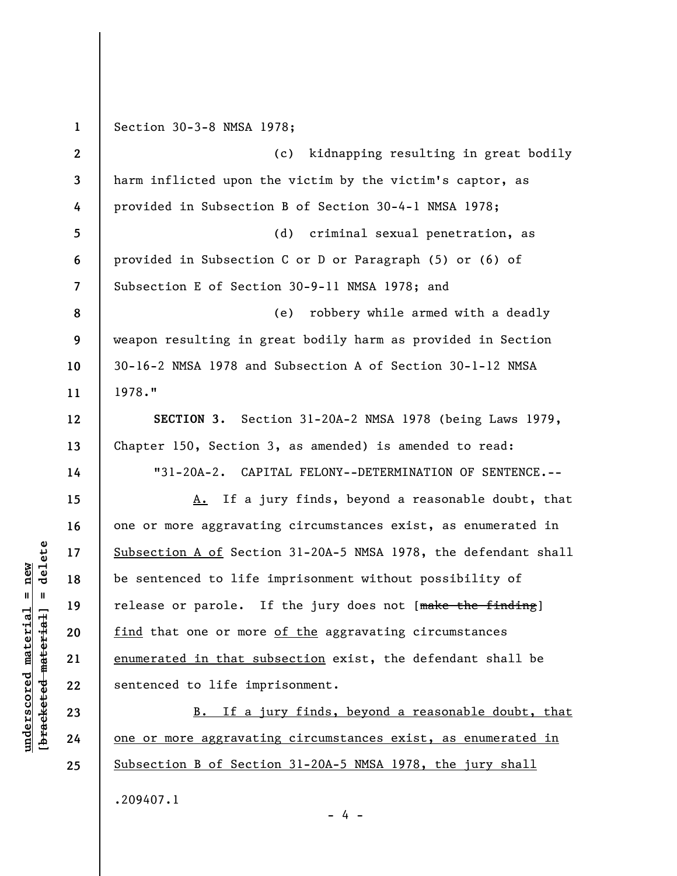**1 2 3 4 5 6 7 8 9 10 11 12 13 14 15 16 17 18 19 20 21 22 23 24 25**  Section 30-3-8 NMSA 1978; (c) kidnapping resulting in great bodily harm inflicted upon the victim by the victim's captor, as provided in Subsection B of Section 30-4-1 NMSA 1978; (d) criminal sexual penetration, as provided in Subsection C or D or Paragraph (5) or (6) of Subsection E of Section 30-9-11 NMSA 1978; and (e) robbery while armed with a deadly weapon resulting in great bodily harm as provided in Section 30-16-2 NMSA 1978 and Subsection A of Section 30-1-12 NMSA 1978." **SECTION 3.** Section 31-20A-2 NMSA 1978 (being Laws 1979, Chapter 150, Section 3, as amended) is amended to read: "31-20A-2. CAPITAL FELONY--DETERMINATION OF SENTENCE.-- A. If a jury finds, beyond a reasonable doubt, that one or more aggravating circumstances exist, as enumerated in Subsection A of Section 31-20A-5 NMSA 1978, the defendant shall be sentenced to life imprisonment without possibility of release or parole. If the jury does not [make the finding] find that one or more of the aggravating circumstances enumerated in that subsection exist, the defendant shall be sentenced to life imprisonment. B. If a jury finds, beyond a reasonable doubt, that one or more aggravating circumstances exist, as enumerated in Subsection B of Section 31-20A-5 NMSA 1978, the jury shall .209407.1

- 4 -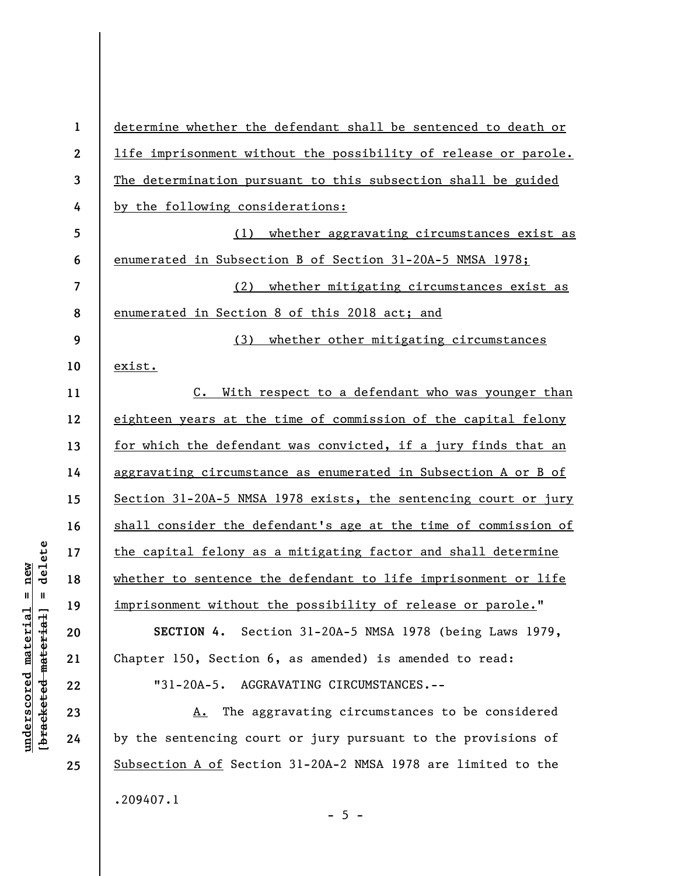| $\boldsymbol{2}$<br>life imprisonment without the possibility of release or parole.<br>3<br>The determination pursuant to this subsection shall be guided<br>by the following considerations:<br>4<br>5<br>whether aggravating circumstances exist as<br>(1)<br>6<br>enumerated in Subsection B of Section 31-20A-5 NMSA 1978;<br>7<br>(2) whether mitigating circumstances exist as |  |
|--------------------------------------------------------------------------------------------------------------------------------------------------------------------------------------------------------------------------------------------------------------------------------------------------------------------------------------------------------------------------------------|--|
|                                                                                                                                                                                                                                                                                                                                                                                      |  |
|                                                                                                                                                                                                                                                                                                                                                                                      |  |
|                                                                                                                                                                                                                                                                                                                                                                                      |  |
|                                                                                                                                                                                                                                                                                                                                                                                      |  |
|                                                                                                                                                                                                                                                                                                                                                                                      |  |
|                                                                                                                                                                                                                                                                                                                                                                                      |  |
| 8<br>enumerated in Section 8 of this 2018 act; and                                                                                                                                                                                                                                                                                                                                   |  |
| 9<br>whether other mitigating circumstances<br>(3)                                                                                                                                                                                                                                                                                                                                   |  |
| 10<br>exist.                                                                                                                                                                                                                                                                                                                                                                         |  |
| 11<br>With respect to a defendant who was younger than<br>$c_{\bullet}$                                                                                                                                                                                                                                                                                                              |  |
| eighteen years at the time of commission of the capital felony<br>12                                                                                                                                                                                                                                                                                                                 |  |
| 13<br>for which the defendant was convicted, if a jury finds that an                                                                                                                                                                                                                                                                                                                 |  |
| aggravating circumstance as enumerated in Subsection A or B of<br>14                                                                                                                                                                                                                                                                                                                 |  |
| Section 31-20A-5 NMSA 1978 exists, the sentencing court or jury<br>15                                                                                                                                                                                                                                                                                                                |  |
| shall consider the defendant's age at the time of commission of<br>16                                                                                                                                                                                                                                                                                                                |  |
| the capital felony as a mitigating factor and shall determine<br>17                                                                                                                                                                                                                                                                                                                  |  |
| whether to sentence the defendant to life imprisonment or life<br>18                                                                                                                                                                                                                                                                                                                 |  |
| imprisonment without the possibility of release or parole."<br>19                                                                                                                                                                                                                                                                                                                    |  |
| SECTION 4. Section 31-20A-5 NMSA 1978 (being Laws 1979,<br>20                                                                                                                                                                                                                                                                                                                        |  |
| Chapter 150, Section 6, as amended) is amended to read:<br>21                                                                                                                                                                                                                                                                                                                        |  |
| "31-20A-5. AGGRAVATING CIRCUMSTANCES.--<br>22                                                                                                                                                                                                                                                                                                                                        |  |
| The aggravating circumstances to be considered<br>23<br>А.                                                                                                                                                                                                                                                                                                                           |  |
| by the sentencing court or jury pursuant to the provisions of<br>24                                                                                                                                                                                                                                                                                                                  |  |
| Subsection A of Section 31-20A-2 NMSA 1978 are limited to the<br>25                                                                                                                                                                                                                                                                                                                  |  |
| .209407.1<br>$-5 -$                                                                                                                                                                                                                                                                                                                                                                  |  |

 $[**bracket eted metert et**] = **del et e**$ **[bracketed material] = delete**  $underscored material = new$ **underscored material = new**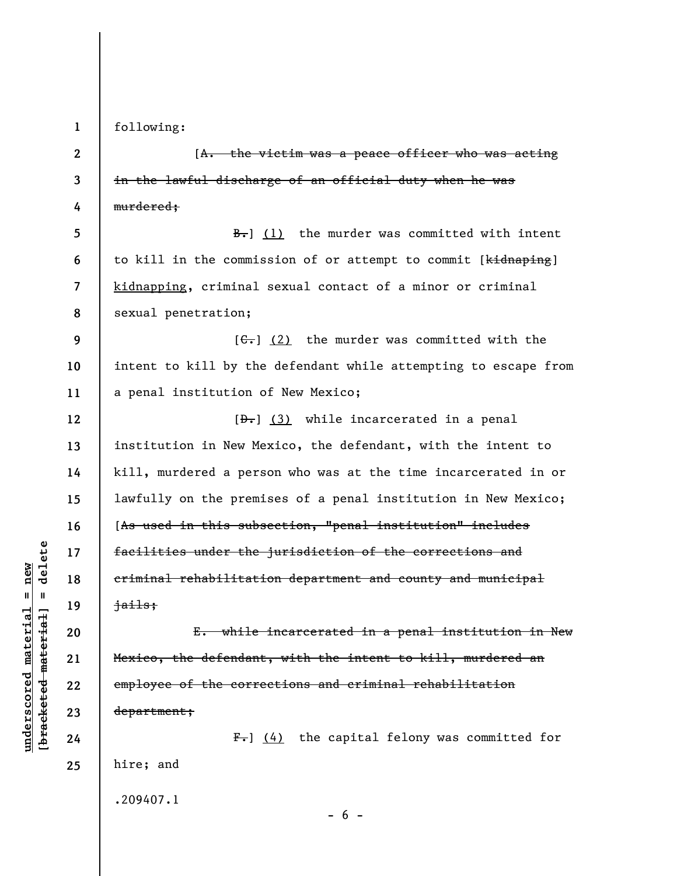**1** 

following:

**2 3 4 5 6 7 8 9 10 11 12 13 14 15 16 17 18 19 20 21 22 23 24 25**  [A. the victim was a peace officer who was acting in the lawful discharge of an official duty when he was murdered;  $\frac{B-1}{B}$  (1) the murder was committed with intent to kill in the commission of or attempt to commit [kidnaping] kidnapping, criminal sexual contact of a minor or criminal sexual penetration;  $[G<sub>1</sub>]$  (2) the murder was committed with the intent to kill by the defendant while attempting to escape from a penal institution of New Mexico;  $[\frac{1}{2} \cdot \frac{1}{3}]$  while incarcerated in a penal institution in New Mexico, the defendant, with the intent to kill, murdered a person who was at the time incarcerated in or lawfully on the premises of a penal institution in New Mexico; [As used in this subsection, "penal institution" includes facilities under the jurisdiction of the corrections and criminal rehabilitation department and county and municipal jails; E. while incarcerated in a penal institution in New Mexico, the defendant, with the intent to kill, murdered an employee of the corrections and criminal rehabilitation department;  $F-$ ] (4) the capital felony was committed for hire; and

 $- 6 -$ 

 $b$ racketed material] = delete **[bracketed material] = delete**  $underscored material = new$ **underscored material = new**

.209407.1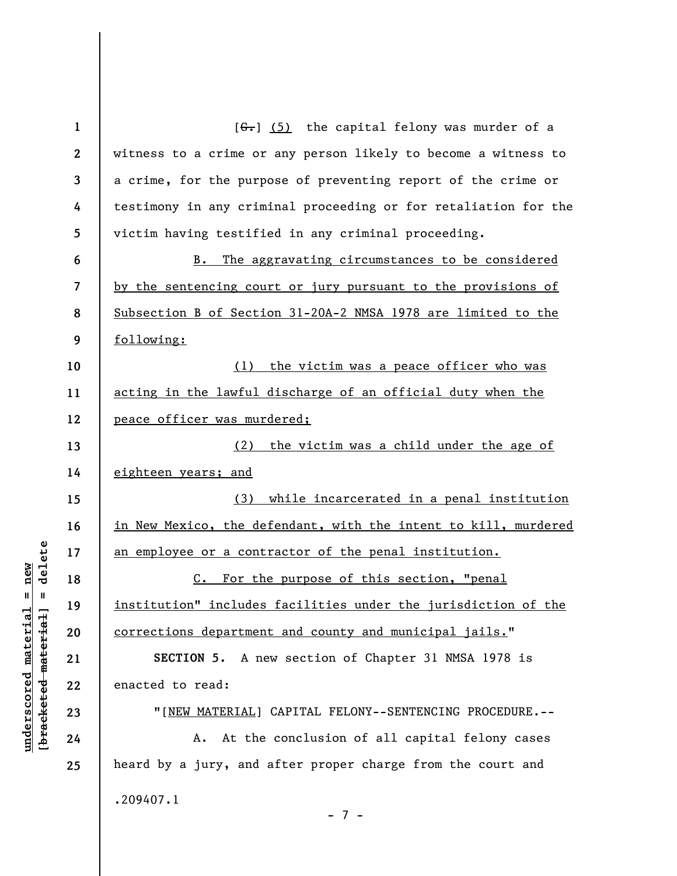| $\mathbf{1}$ | $[6-]$ (5) the capital felony was murder of a                   |
|--------------|-----------------------------------------------------------------|
| $\mathbf{2}$ | witness to a crime or any person likely to become a witness to  |
| 3            | a crime, for the purpose of preventing report of the crime or   |
| 4            | testimony in any criminal proceeding or for retaliation for the |
| 5            | victim having testified in any criminal proceeding.             |
| 6            | The aggravating circumstances to be considered<br>B.            |
| 7            | by the sentencing court or jury pursuant to the provisions of   |
| 8            | Subsection B of Section 31-20A-2 NMSA 1978 are limited to the   |
| 9            | following:                                                      |
| 10           | (1) the victim was a peace officer who was                      |
| 11           | acting in the lawful discharge of an official duty when the     |
| 12           | peace officer was murdered;                                     |
| 13           | (2) the victim was a child under the age of                     |
| 14           | eighteen years; and                                             |
| 15           | (3) while incarcerated in a penal institution                   |
| 16           | in New Mexico, the defendant, with the intent to kill, murdered |
| 17           | an employee or a contractor of the penal institution.           |
| 18           | C. For the purpose of this section, "penal                      |
| 19           | institution" includes facilities under the jurisdiction of the  |
| 20           | <u>corrections department and county and municipal jails.</u> " |
| 21           | SECTION 5. A new section of Chapter 31 NMSA 1978 is             |
| 22           | enacted to read:                                                |
| 23           | "[NEW MATERIAL] CAPITAL FELONY--SENTENCING PROCEDURE.--         |
| 24           | At the conclusion of all capital felony cases<br>A.             |
| 25           | heard by a jury, and after proper charge from the court and     |
|              | .209407.1                                                       |
|              | $-7-$                                                           |

## $[**bracket eted metert et**] = **del et e**$ **[bracketed material] = delete**  $underscored material = new$ **underscored material = new**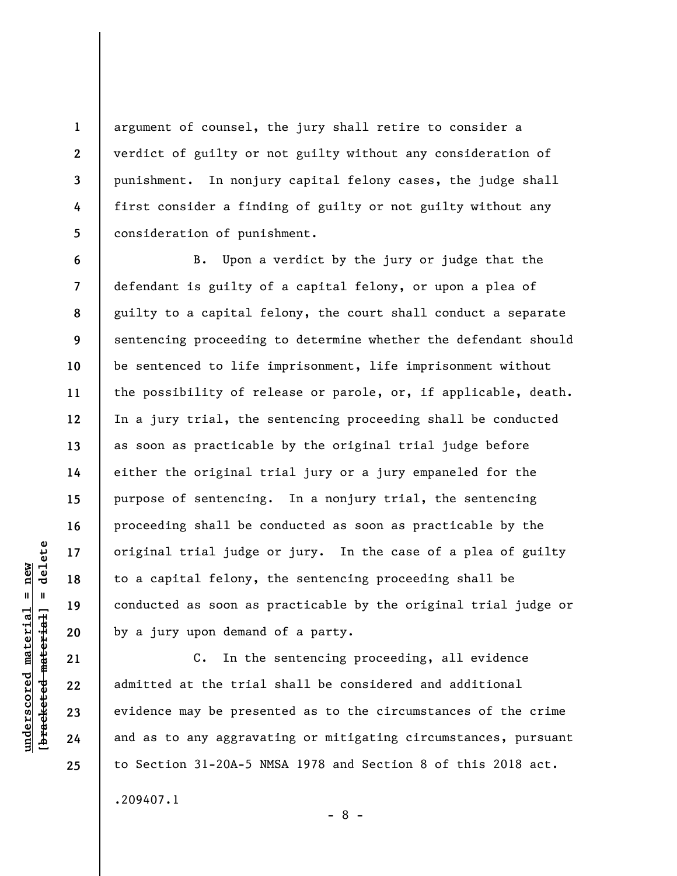argument of counsel, the jury shall retire to consider a verdict of guilty or not guilty without any consideration of punishment. In nonjury capital felony cases, the judge shall first consider a finding of guilty or not guilty without any consideration of punishment.

B. Upon a verdict by the jury or judge that the defendant is guilty of a capital felony, or upon a plea of guilty to a capital felony, the court shall conduct a separate sentencing proceeding to determine whether the defendant should be sentenced to life imprisonment, life imprisonment without the possibility of release or parole, or, if applicable, death. In a jury trial, the sentencing proceeding shall be conducted as soon as practicable by the original trial judge before either the original trial jury or a jury empaneled for the purpose of sentencing. In a nonjury trial, the sentencing proceeding shall be conducted as soon as practicable by the original trial judge or jury. In the case of a plea of guilty to a capital felony, the sentencing proceeding shall be conducted as soon as practicable by the original trial judge or by a jury upon demand of a party.

C. In the sentencing proceeding, all evidence admitted at the trial shall be considered and additional evidence may be presented as to the circumstances of the crime and as to any aggravating or mitigating circumstances, pursuant to Section 31-20A-5 NMSA 1978 and Section 8 of this 2018 act. .209407.1

- 8 -

**1** 

**2** 

**3** 

**4** 

**5** 

**6** 

**7** 

**8** 

**9** 

**10** 

**11** 

**12** 

**13** 

**14** 

**15** 

**16** 

**17** 

**18** 

**19** 

**20** 

**21** 

**22** 

**23** 

**24**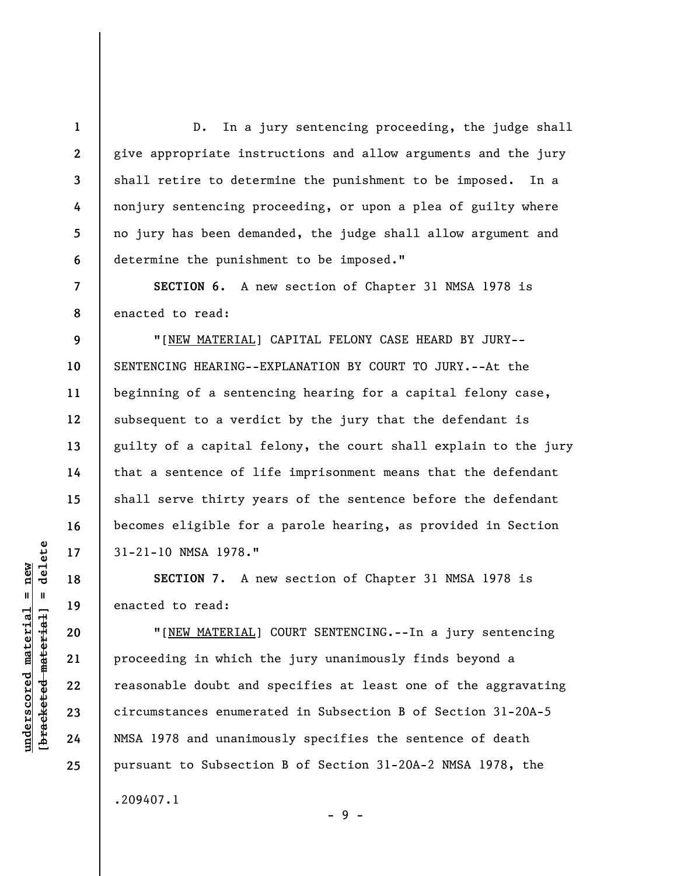**2 3 4 5 6 7 8 9 10 11 12 13 14 15 16 17 18 19 20 21 22 23 24 25**  D. In a jury sentencing proceeding, the judge shall give appropriate instructions and allow arguments and the jury shall retire to determine the punishment to be imposed. In a nonjury sentencing proceeding, or upon a plea of guilty where no jury has been demanded, the judge shall allow argument and determine the punishment to be imposed." **SECTION 6.** A new section of Chapter 31 NMSA 1978 is enacted to read: "[NEW MATERIAL] CAPITAL FELONY CASE HEARD BY JURY-- SENTENCING HEARING--EXPLANATION BY COURT TO JURY.--At the beginning of a sentencing hearing for a capital felony case, subsequent to a verdict by the jury that the defendant is guilty of a capital felony, the court shall explain to the jury that a sentence of life imprisonment means that the defendant shall serve thirty years of the sentence before the defendant becomes eligible for a parole hearing, as provided in Section 31-21-10 NMSA 1978." **SECTION 7.** A new section of Chapter 31 NMSA 1978 is enacted to read: "[NEW MATERIAL] COURT SENTENCING.--In a jury sentencing proceeding in which the jury unanimously finds beyond a reasonable doubt and specifies at least one of the aggravating circumstances enumerated in Subsection B of Section 31-20A-5 NMSA 1978 and unanimously specifies the sentence of death pursuant to Subsection B of Section 31-20A-2 NMSA 1978, the .209407.1

**1** 

 $\frac{1}{2}$  of  $\frac{1}{2}$  and  $\frac{1}{2}$  and  $\frac{1}{2}$  and  $\frac{1}{2}$  and  $\frac{1}{2}$  and  $\frac{1}{2}$  and  $\frac{1}{2}$  and  $\frac{1}{2}$  and  $\frac{1}{2}$  and  $\frac{1}{2}$  and  $\frac{1}{2}$  and  $\frac{1}{2}$  and  $\frac{1}{2}$  and  $\frac{1}{2}$  and  $\frac{1}{2}$  an **[bracketed material] = delete**  $underscored material = new$ **underscored material = new**

- 9 -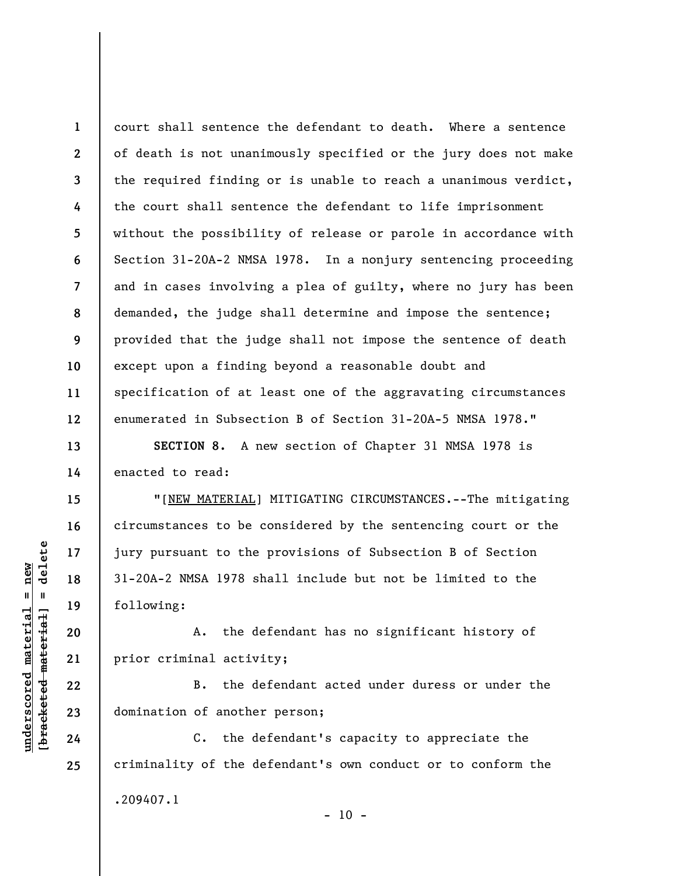**1 2 3 4 5 6 7 8 9 10 11 12**  court shall sentence the defendant to death. Where a sentence of death is not unanimously specified or the jury does not make the required finding or is unable to reach a unanimous verdict, the court shall sentence the defendant to life imprisonment without the possibility of release or parole in accordance with Section 31-20A-2 NMSA 1978. In a nonjury sentencing proceeding and in cases involving a plea of guilty, where no jury has been demanded, the judge shall determine and impose the sentence; provided that the judge shall not impose the sentence of death except upon a finding beyond a reasonable doubt and specification of at least one of the aggravating circumstances enumerated in Subsection B of Section 31-20A-5 NMSA 1978."

**SECTION 8.** A new section of Chapter 31 NMSA 1978 is enacted to read:

"[NEW MATERIAL] MITIGATING CIRCUMSTANCES.--The mitigating circumstances to be considered by the sentencing court or the jury pursuant to the provisions of Subsection B of Section 31-20A-2 NMSA 1978 shall include but not be limited to the following:

A. the defendant has no significant history of prior criminal activity;

B. the defendant acted under duress or under the domination of another person;

C. the defendant's capacity to appreciate the criminality of the defendant's own conduct or to conform the .209407.1  $- 10 -$ 

 $\frac{1}{2}$  intereted material = delete **[bracketed material] = delete**  $underscored material = new$ **underscored material = new**

**13** 

**14** 

**15** 

**16** 

**17** 

**18** 

**19** 

**20** 

**21** 

**22** 

**23** 

**24**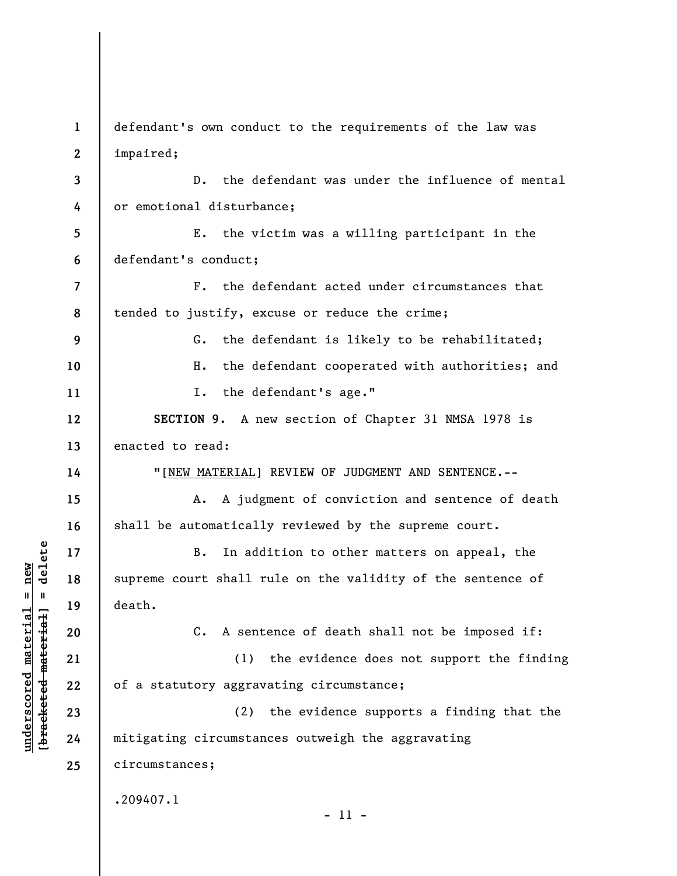**3 4 5 6 7 8 9 10 11 12 13 14 15 16 17 18 19 20 21 22 23 24 25**  D. the defendant was under the influence of mental or emotional disturbance; E. the victim was a willing participant in the defendant's conduct; F. the defendant acted under circumstances that tended to justify, excuse or reduce the crime; G. the defendant is likely to be rehabilitated; H. the defendant cooperated with authorities; and I. the defendant's age." **SECTION 9.** A new section of Chapter 31 NMSA 1978 is enacted to read: "[NEW MATERIAL] REVIEW OF JUDGMENT AND SENTENCE.-- A. A judgment of conviction and sentence of death shall be automatically reviewed by the supreme court. B. In addition to other matters on appeal, the supreme court shall rule on the validity of the sentence of death. C. A sentence of death shall not be imposed if: (1) the evidence does not support the finding of a statutory aggravating circumstance; (2) the evidence supports a finding that the mitigating circumstances outweigh the aggravating circumstances; .209407.1 - 11 -

defendant's own conduct to the requirements of the law was

**underscored material = new [bracketed material] = delete**

 $b$ racketed material] = delete  $underscored$  material = new

**1** 

**2** 

impaired;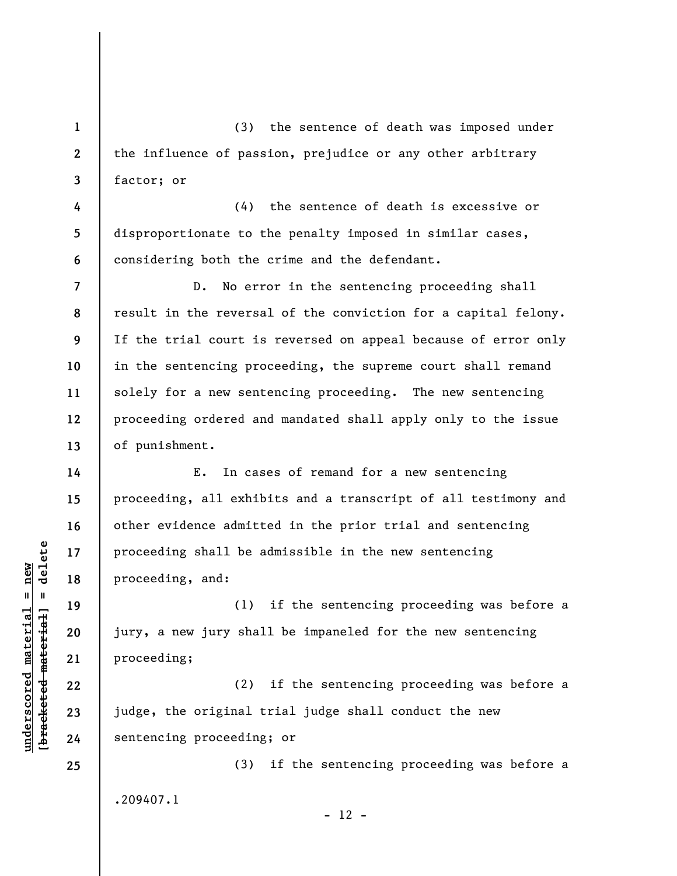(3) the sentence of death was imposed under the influence of passion, prejudice or any other arbitrary factor; or

**4 5 6**  (4) the sentence of death is excessive or disproportionate to the penalty imposed in similar cases, considering both the crime and the defendant.

D. No error in the sentencing proceeding shall result in the reversal of the conviction for a capital felony. If the trial court is reversed on appeal because of error only in the sentencing proceeding, the supreme court shall remand solely for a new sentencing proceeding. The new sentencing proceeding ordered and mandated shall apply only to the issue of punishment.

E. In cases of remand for a new sentencing proceeding, all exhibits and a transcript of all testimony and other evidence admitted in the prior trial and sentencing proceeding shall be admissible in the new sentencing proceeding, and:

(1) if the sentencing proceeding was before a jury, a new jury shall be impaneled for the new sentencing proceeding;

(2) if the sentencing proceeding was before a judge, the original trial judge shall conduct the new sentencing proceeding; or

(3) if the sentencing proceeding was before a .209407.1

 $- 12 -$ 

 $\frac{1}{2}$  intereted material = delete **[bracketed material] = delete**  $underscored material = new$ **underscored material = new**

**1** 

**2** 

**3** 

**7** 

**8** 

**9** 

**10** 

**11** 

**12** 

**13** 

**14** 

**15** 

**16** 

**17** 

**18** 

**19** 

**20** 

**21** 

**22** 

**23** 

**24**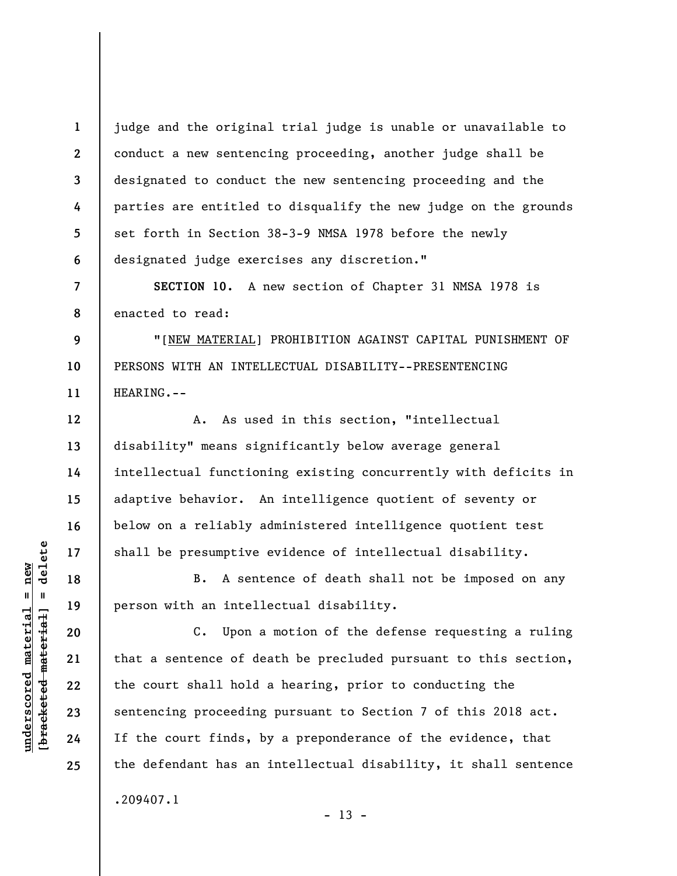**1 2 3 4 5 6**  judge and the original trial judge is unable or unavailable to conduct a new sentencing proceeding, another judge shall be designated to conduct the new sentencing proceeding and the parties are entitled to disqualify the new judge on the grounds set forth in Section 38-3-9 NMSA 1978 before the newly designated judge exercises any discretion."

**8 SECTION 10.** A new section of Chapter 31 NMSA 1978 is enacted to read:

**9 10 11**  "[NEW MATERIAL] PROHIBITION AGAINST CAPITAL PUNISHMENT OF PERSONS WITH AN INTELLECTUAL DISABILITY--PRESENTENCING HEARING.--

A. As used in this section, "intellectual disability" means significantly below average general intellectual functioning existing concurrently with deficits in adaptive behavior. An intelligence quotient of seventy or below on a reliably administered intelligence quotient test shall be presumptive evidence of intellectual disability.

B. A sentence of death shall not be imposed on any person with an intellectual disability.

C. Upon a motion of the defense requesting a ruling that a sentence of death be precluded pursuant to this section, the court shall hold a hearing, prior to conducting the sentencing proceeding pursuant to Section 7 of this 2018 act. If the court finds, by a preponderance of the evidence, that the defendant has an intellectual disability, it shall sentence .209407.1

 $- 13 -$ 

 $\frac{1}{2}$  of  $\frac{1}{2}$  and  $\frac{1}{2}$  and  $\frac{1}{2}$  and  $\frac{1}{2}$  and  $\frac{1}{2}$  and  $\frac{1}{2}$  and  $\frac{1}{2}$  and  $\frac{1}{2}$  and  $\frac{1}{2}$  and  $\frac{1}{2}$  and  $\frac{1}{2}$  and  $\frac{1}{2}$  and  $\frac{1}{2}$  and  $\frac{1}{2}$  and  $\frac{1}{2}$  an **[bracketed material] = delete**  $underscored material = new$ **underscored material = new**

**7** 

**12** 

**13** 

**14** 

**15** 

**16** 

**17** 

**18** 

**19** 

**20** 

**21** 

**22** 

**23** 

**24**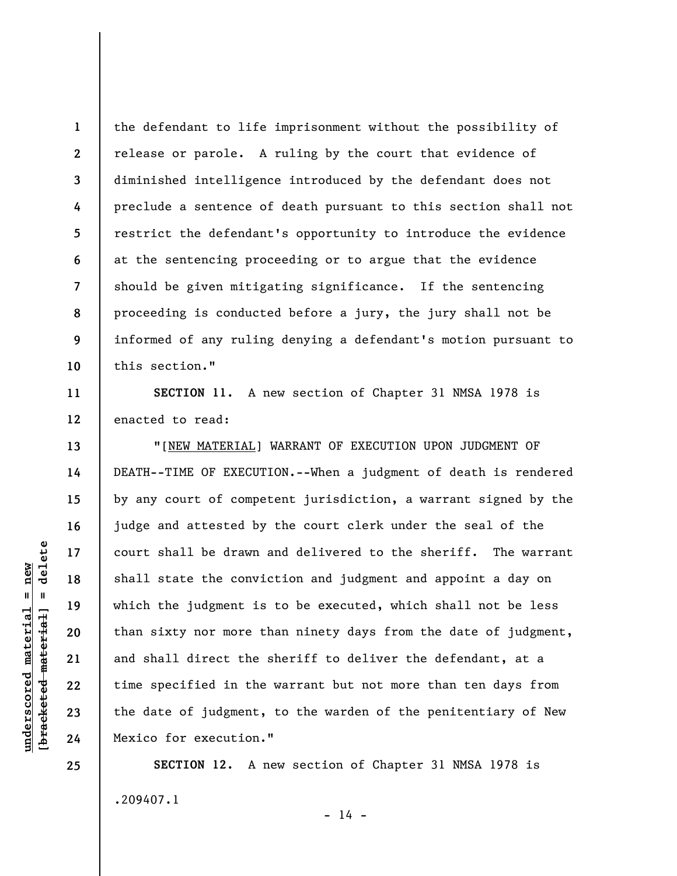**1 2 3 4 5 6 7 8 9 10**  the defendant to life imprisonment without the possibility of release or parole. A ruling by the court that evidence of diminished intelligence introduced by the defendant does not preclude a sentence of death pursuant to this section shall not restrict the defendant's opportunity to introduce the evidence at the sentencing proceeding or to argue that the evidence should be given mitigating significance. If the sentencing proceeding is conducted before a jury, the jury shall not be informed of any ruling denying a defendant's motion pursuant to this section."

**SECTION 11.** A new section of Chapter 31 NMSA 1978 is enacted to read:

"[NEW MATERIAL] WARRANT OF EXECUTION UPON JUDGMENT OF DEATH--TIME OF EXECUTION.--When a judgment of death is rendered by any court of competent jurisdiction, a warrant signed by the judge and attested by the court clerk under the seal of the court shall be drawn and delivered to the sheriff. The warrant shall state the conviction and judgment and appoint a day on which the judgment is to be executed, which shall not be less than sixty nor more than ninety days from the date of judgment, and shall direct the sheriff to deliver the defendant, at a time specified in the warrant but not more than ten days from the date of judgment, to the warden of the penitentiary of New Mexico for execution."

**SECTION 12.** A new section of Chapter 31 NMSA 1978 is .209407.1

 $- 14 -$ 

delete **[bracketed material] = delete**  $underscored material = new$ **underscored material = new**  $\frac{1}{2}$ 

**11** 

**12** 

**13** 

**14** 

**15** 

**16** 

**17** 

**18** 

**19** 

**20** 

**21** 

**22** 

**23** 

**24**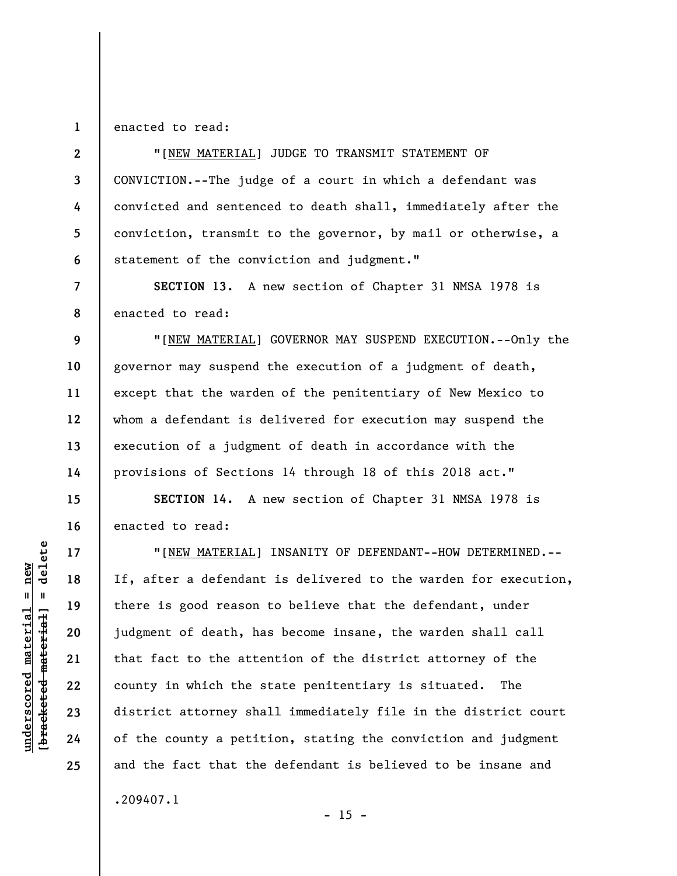## **1**  enacted to read:

**2** 

**3** 

**4** 

**5** 

**6** 

**7** 

**8** 

**9** 

**10** 

**11** 

**12** 

**13** 

**14** 

**15** 

**16** 

**17** 

**18** 

**19** 

**20** 

**21** 

**22** 

**23** 

**24** 

**25** 

"[NEW MATERIAL] JUDGE TO TRANSMIT STATEMENT OF CONVICTION.--The judge of a court in which a defendant was convicted and sentenced to death shall, immediately after the conviction, transmit to the governor, by mail or otherwise, a statement of the conviction and judgment."

**SECTION 13.** A new section of Chapter 31 NMSA 1978 is enacted to read:

"[NEW MATERIAL] GOVERNOR MAY SUSPEND EXECUTION.--Only the governor may suspend the execution of a judgment of death, except that the warden of the penitentiary of New Mexico to whom a defendant is delivered for execution may suspend the execution of a judgment of death in accordance with the provisions of Sections 14 through 18 of this 2018 act."

**SECTION 14.** A new section of Chapter 31 NMSA 1978 is enacted to read:

"[NEW MATERIAL] INSANITY OF DEFENDANT--HOW DETERMINED.-- If, after a defendant is delivered to the warden for execution, there is good reason to believe that the defendant, under judgment of death, has become insane, the warden shall call that fact to the attention of the district attorney of the county in which the state penitentiary is situated. The district attorney shall immediately file in the district court of the county a petition, stating the conviction and judgment and the fact that the defendant is believed to be insane and .209407.1

delete **[bracketed material] = delete**  $underscored material = new$ **underscored material = new**  $\mathbf{I}$ bracketed material

 $- 15 -$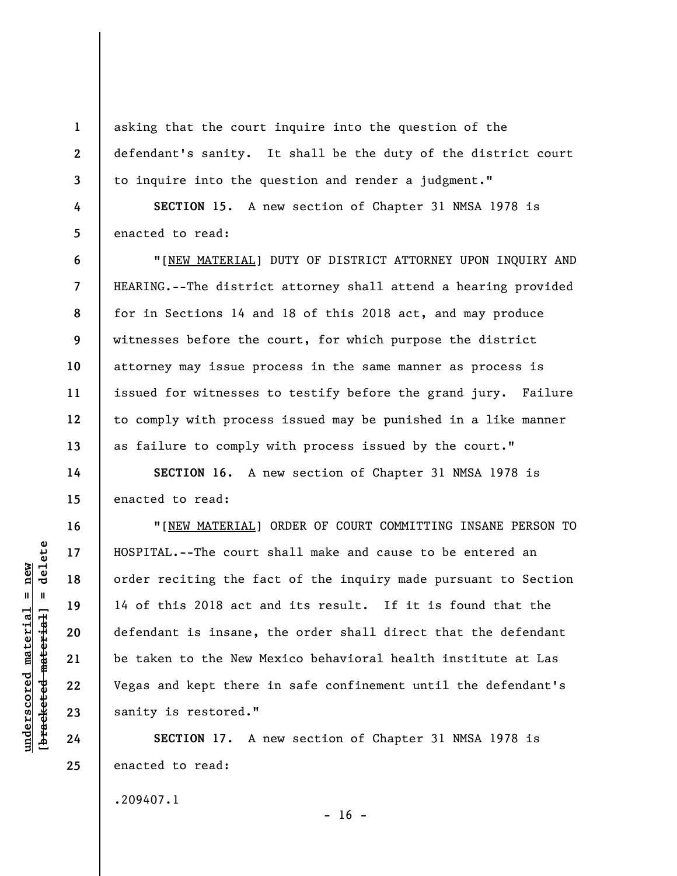asking that the court inquire into the question of the defendant's sanity. It shall be the duty of the district court to inquire into the question and render a judgment."

**SECTION 15.** A new section of Chapter 31 NMSA 1978 is enacted to read:

"[NEW MATERIAL] DUTY OF DISTRICT ATTORNEY UPON INQUIRY AND HEARING.--The district attorney shall attend a hearing provided for in Sections 14 and 18 of this 2018 act, and may produce witnesses before the court, for which purpose the district attorney may issue process in the same manner as process is issued for witnesses to testify before the grand jury. Failure to comply with process issued may be punished in a like manner as failure to comply with process issued by the court."

**SECTION 16.** A new section of Chapter 31 NMSA 1978 is enacted to read:

"[NEW MATERIAL] ORDER OF COURT COMMITTING INSANE PERSON TO HOSPITAL.--The court shall make and cause to be entered an order reciting the fact of the inquiry made pursuant to Section 14 of this 2018 act and its result. If it is found that the defendant is insane, the order shall direct that the defendant be taken to the New Mexico behavioral health institute at Las Vegas and kept there in safe confinement until the defendant's sanity is restored."

**SECTION 17.** A new section of Chapter 31 NMSA 1978 is enacted to read:

 $- 16 -$ 

.209407.1

 $=$  delete **[bracketed material] = delete**  $underscored material = new$ **underscored material = new** bracketed material

**1** 

**2** 

**3** 

**4** 

**5** 

**6** 

**7** 

**8** 

**9** 

**10** 

**11** 

**12** 

**13** 

**14** 

**15** 

**16** 

**17** 

**18** 

**19** 

**20** 

**21** 

**22** 

**23** 

**24**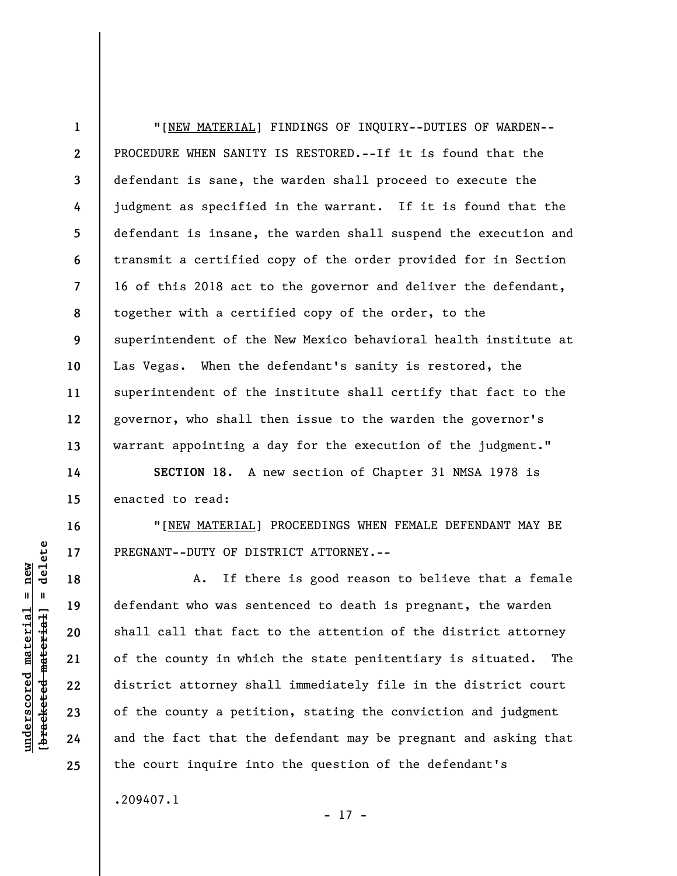**1 2 3 4 5 6 7 8 9 10 11 12 13**  "[NEW MATERIAL] FINDINGS OF INQUIRY--DUTIES OF WARDEN-- PROCEDURE WHEN SANITY IS RESTORED.--If it is found that the defendant is sane, the warden shall proceed to execute the judgment as specified in the warrant. If it is found that the defendant is insane, the warden shall suspend the execution and transmit a certified copy of the order provided for in Section 16 of this 2018 act to the governor and deliver the defendant, together with a certified copy of the order, to the superintendent of the New Mexico behavioral health institute at Las Vegas. When the defendant's sanity is restored, the superintendent of the institute shall certify that fact to the governor, who shall then issue to the warden the governor's warrant appointing a day for the execution of the judgment."

**SECTION 18.** A new section of Chapter 31 NMSA 1978 is enacted to read:

"[NEW MATERIAL] PROCEEDINGS WHEN FEMALE DEFENDANT MAY BE PREGNANT--DUTY OF DISTRICT ATTORNEY.--

A. If there is good reason to believe that a female defendant who was sentenced to death is pregnant, the warden shall call that fact to the attention of the district attorney of the county in which the state penitentiary is situated. The district attorney shall immediately file in the district court of the county a petition, stating the conviction and judgment and the fact that the defendant may be pregnant and asking that the court inquire into the question of the defendant's

.209407.1

- 17 -

## delete **[bracketed material] = delete**  $underscored material = new$ **underscored material = new**  $\mathbf{u}$ bracketed material

**14** 

**15** 

**16** 

**17** 

**18** 

**19** 

**20** 

**21** 

**22** 

**23** 

**24**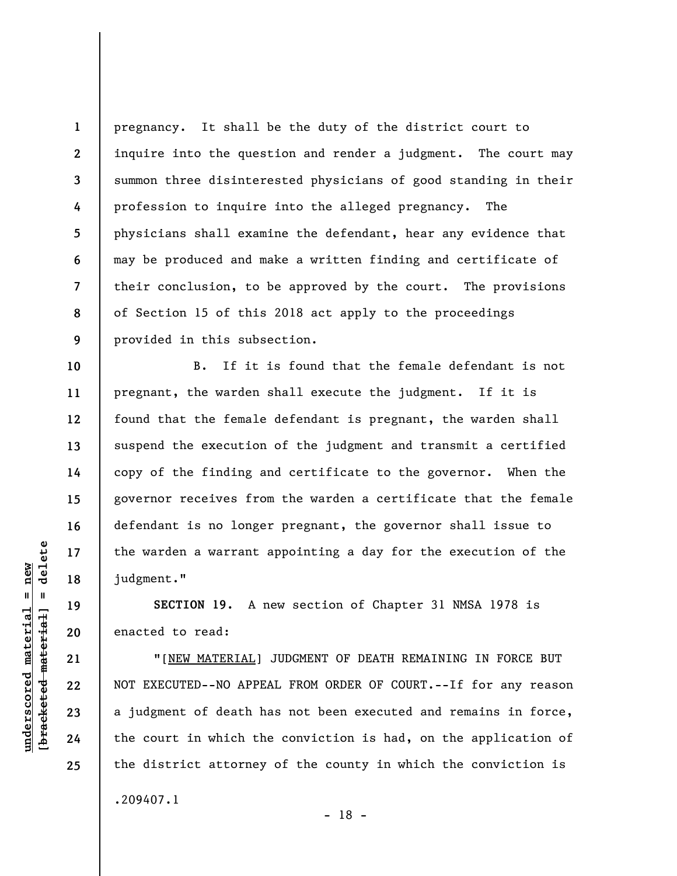**1 2 3 4 5 6 7 8 9**  pregnancy. It shall be the duty of the district court to inquire into the question and render a judgment. The court may summon three disinterested physicians of good standing in their profession to inquire into the alleged pregnancy. The physicians shall examine the defendant, hear any evidence that may be produced and make a written finding and certificate of their conclusion, to be approved by the court. The provisions of Section 15 of this 2018 act apply to the proceedings provided in this subsection.

B. If it is found that the female defendant is not pregnant, the warden shall execute the judgment. If it is found that the female defendant is pregnant, the warden shall suspend the execution of the judgment and transmit a certified copy of the finding and certificate to the governor. When the governor receives from the warden a certificate that the female defendant is no longer pregnant, the governor shall issue to the warden a warrant appointing a day for the execution of the judgment."

**SECTION 19.** A new section of Chapter 31 NMSA 1978 is enacted to read:

"[NEW MATERIAL] JUDGMENT OF DEATH REMAINING IN FORCE BUT NOT EXECUTED--NO APPEAL FROM ORDER OF COURT.--If for any reason a judgment of death has not been executed and remains in force, the court in which the conviction is had, on the application of the district attorney of the county in which the conviction is .209407.1

**10** 

**11** 

**12** 

**13** 

**14** 

**15** 

**16** 

**17** 

**18** 

**19** 

**20** 

**21** 

**22** 

**23** 

**24**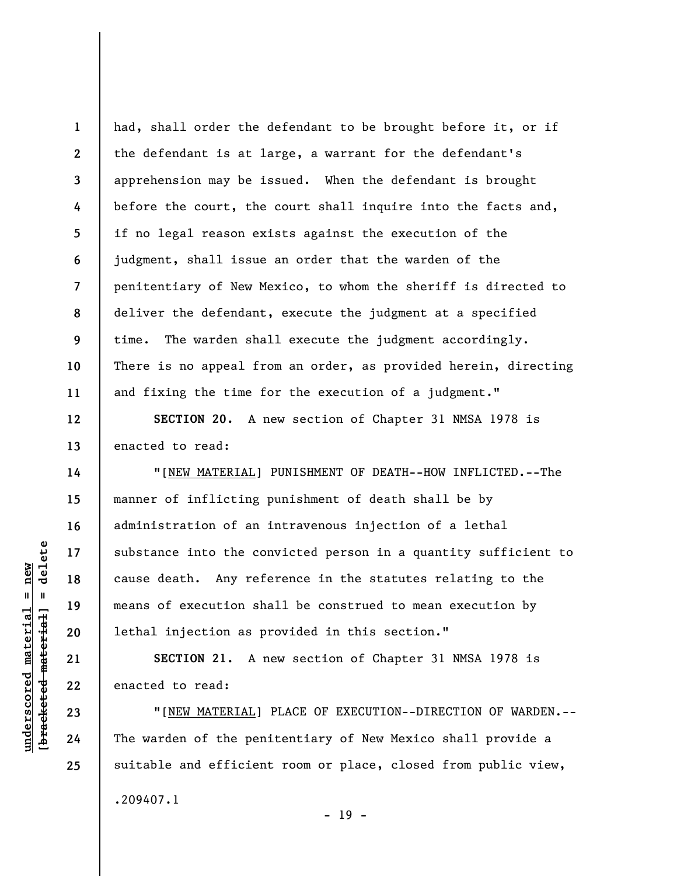**1 2 3 4 5 6 7 8 9 10 11**  had, shall order the defendant to be brought before it, or if the defendant is at large, a warrant for the defendant's apprehension may be issued. When the defendant is brought before the court, the court shall inquire into the facts and, if no legal reason exists against the execution of the judgment, shall issue an order that the warden of the penitentiary of New Mexico, to whom the sheriff is directed to deliver the defendant, execute the judgment at a specified time. The warden shall execute the judgment accordingly. There is no appeal from an order, as provided herein, directing and fixing the time for the execution of a judgment."

**SECTION 20.** A new section of Chapter 31 NMSA 1978 is enacted to read:

"[NEW MATERIAL] PUNISHMENT OF DEATH--HOW INFLICTED.--The manner of inflicting punishment of death shall be by administration of an intravenous injection of a lethal substance into the convicted person in a quantity sufficient to cause death. Any reference in the statutes relating to the means of execution shall be construed to mean execution by lethal injection as provided in this section."

**SECTION 21.** A new section of Chapter 31 NMSA 1978 is enacted to read:

"[NEW MATERIAL] PLACE OF EXECUTION--DIRECTION OF WARDEN.-- The warden of the penitentiary of New Mexico shall provide a suitable and efficient room or place, closed from public view, .209407.1

- 19 -

**12** 

**13** 

**14** 

**15** 

**16** 

**17** 

**18** 

**19** 

**20** 

**21** 

**22** 

**23** 

**24**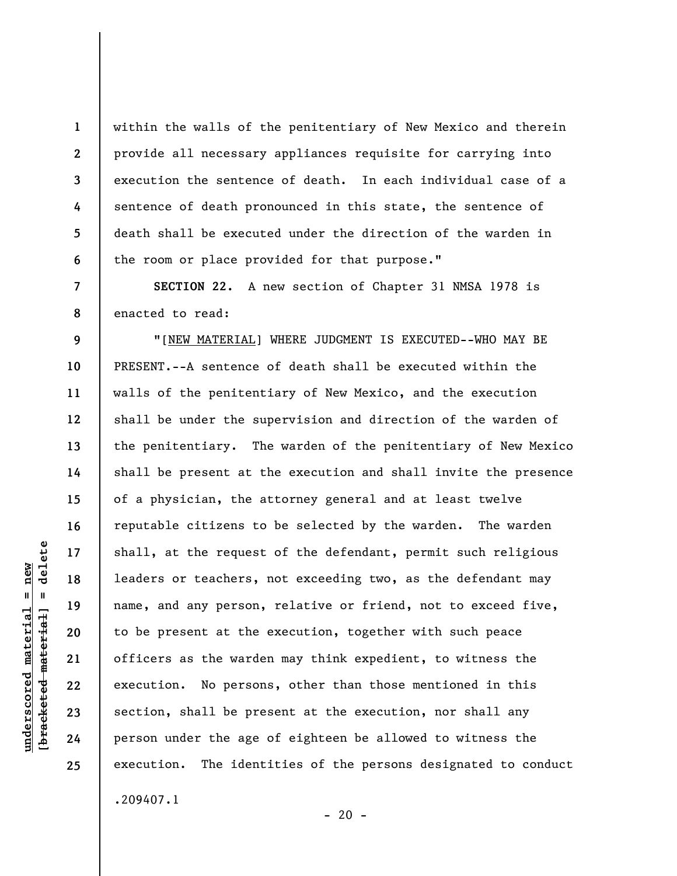within the walls of the penitentiary of New Mexico and therein provide all necessary appliances requisite for carrying into execution the sentence of death. In each individual case of a sentence of death pronounced in this state, the sentence of death shall be executed under the direction of the warden in the room or place provided for that purpose."

**SECTION 22.** A new section of Chapter 31 NMSA 1978 is enacted to read:

"[NEW MATERIAL] WHERE JUDGMENT IS EXECUTED--WHO MAY BE PRESENT.--A sentence of death shall be executed within the walls of the penitentiary of New Mexico, and the execution shall be under the supervision and direction of the warden of the penitentiary. The warden of the penitentiary of New Mexico shall be present at the execution and shall invite the presence of a physician, the attorney general and at least twelve reputable citizens to be selected by the warden. The warden shall, at the request of the defendant, permit such religious leaders or teachers, not exceeding two, as the defendant may name, and any person, relative or friend, not to exceed five, to be present at the execution, together with such peace officers as the warden may think expedient, to witness the execution. No persons, other than those mentioned in this section, shall be present at the execution, nor shall any person under the age of eighteen be allowed to witness the execution. The identities of the persons designated to conduct .209407.1

 $- 20 -$ 

**1** 

**2** 

**3** 

**4** 

**5** 

**6** 

**7** 

**8** 

**9** 

**10** 

**11** 

**12** 

**13** 

**14** 

**15** 

**16** 

**17** 

**18** 

**19** 

**20** 

**21** 

**22** 

**23** 

**24**